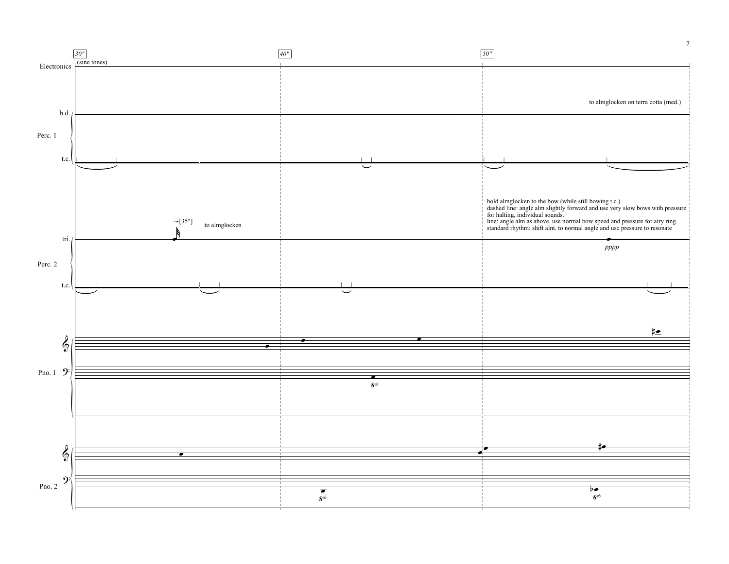